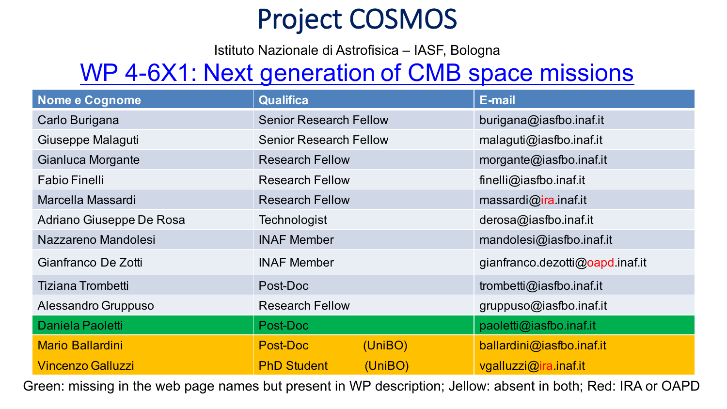## **Project COSMOS**

Istituto Nazionale di Astrofisica – IASF, Bologna

## WP 4-6X1: Next generation of CMB space missions

| <b>Nome e Cognome</b>    | <b>Qualifica</b>              | <b>E-mail</b>                   |
|--------------------------|-------------------------------|---------------------------------|
| Carlo Burigana           | <b>Senior Research Fellow</b> | burigana@iasfbo.inaf.it         |
| Giuseppe Malaguti        | <b>Senior Research Fellow</b> | malaguti@iasfbo.inaf.it         |
| Gianluca Morgante        | <b>Research Fellow</b>        | morgante@iasfbo.inaf.it         |
| <b>Fabio Finelli</b>     | <b>Research Fellow</b>        | finelli@iasfbo.inaf.it          |
| Marcella Massardi        | <b>Research Fellow</b>        | massardi@ira.inaf.it            |
| Adriano Giuseppe De Rosa | Technologist                  | derosa@iasfbo.inaf.it           |
| Nazzareno Mandolesi      | <b>INAF Member</b>            | mandolesi@iasfbo.inaf.it        |
| Gianfranco De Zotti      | <b>INAF Member</b>            | gianfranco.dezotti@oapd.inaf.it |
| <b>Tiziana Trombetti</b> | Post-Doc                      | trombetti@iasfbo.inaf.it        |
| Alessandro Gruppuso      | <b>Research Fellow</b>        | gruppuso@iasfbo.inaf.it         |
| Daniela Paoletti         | Post-Doc                      | paoletti@iasfbo.inaf.it         |
| <b>Mario Ballardini</b>  | <b>Post-Doc</b><br>(UniBO)    | ballardini@iasfbo.inaf.it       |
| <b>Vincenzo Galluzzi</b> | <b>PhD Student</b><br>(UnIBO) | vgalluzzi@ira.inaf.it           |

Green: missing in the web page names but present in WP description; Jellow: absent in both; Red: IRA or OAPD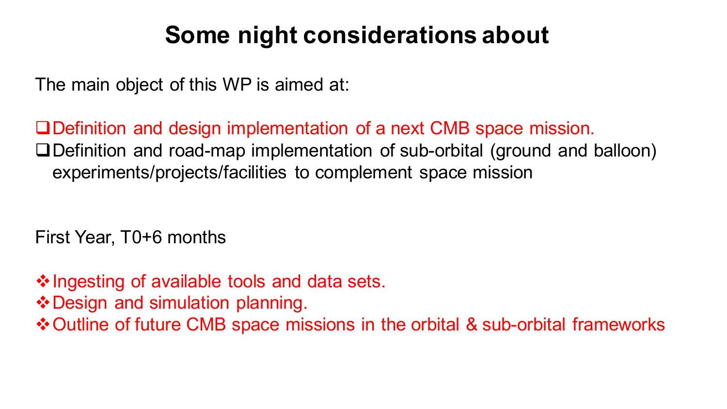## **Some night considerations about**

The main object of this WP is aimed at:

QDefinition and design implementation of a next CMB space mission.  $\square$ Definition and road-map implementation of sub-orbital (ground and balloon) experiments/projects/facilities to complement space mission

First Year, T0+6 months

 $\cdot$  Ingesting of available tools and data sets.

❖ Design and simulation planning.

**\* Outline of future CMB space missions in the orbital & sub-orbital frameworks**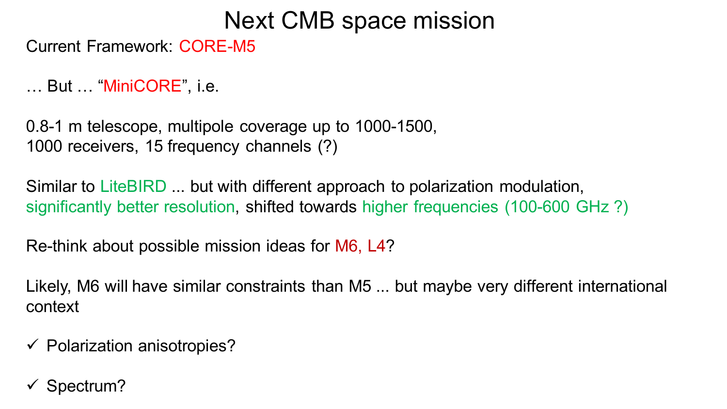### Next CMB space mission

Current Framework: CORE-M5

… But … "MiniCORE", i.e.

0.8-1 m telescope, multipole coverage up to 1000-1500, 1000 receivers, 15 frequency channels (?)

Similar to LiteBIRD ... but with different approach to polarization modulation, significantly better resolution, shifted towards higher frequencies (100-600 GHz ?)

Re-think about possible mission ideas for M6, L4?

Likely, M6 will have similar constraints than M5 ... but maybe very different international context

 $\checkmark$  Polarization anisotropies?

Spectrum?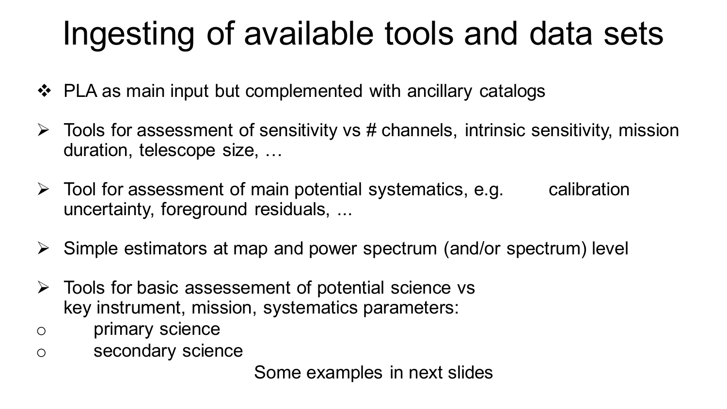# Ingesting of available tools and data sets

- $\cdot \cdot$  PLA as main input but complemented with ancillary catalogs
- $\triangleright$  Tools for assessment of sensitivity vs # channels, intrinsic sensitivity, mission duration, telescope size, …
- $\triangleright$  Tool for assessment of main potential systematics, e.g. calibration uncertainty, foreground residuals, ...
- $\triangleright$  Simple estimators at map and power spectrum (and/or spectrum) level
- $\triangleright$  Tools for basic assessement of potential science vs key instrument, mission, systematics parameters:
- o primary science
- o secondary science

Some examples in next slides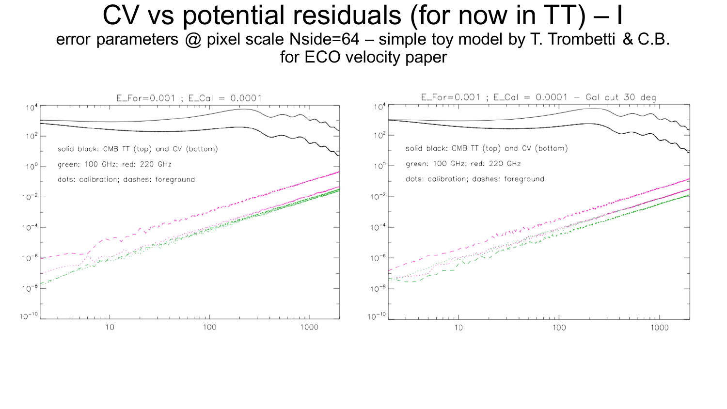### CV vs potential residuals (for now in TT) – I error parameters @ pixel scale Nside=64 – simple toy model by T. Trombetti & C.B. for ECO velocity paper

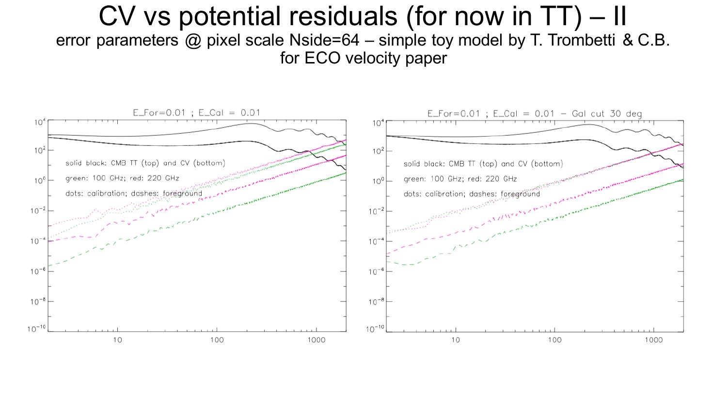### CV vs potential residuals (for now in TT) – II error parameters @ pixel scale Nside=64 – simple toy model by T. Trombetti & C.B. for ECO velocity paper

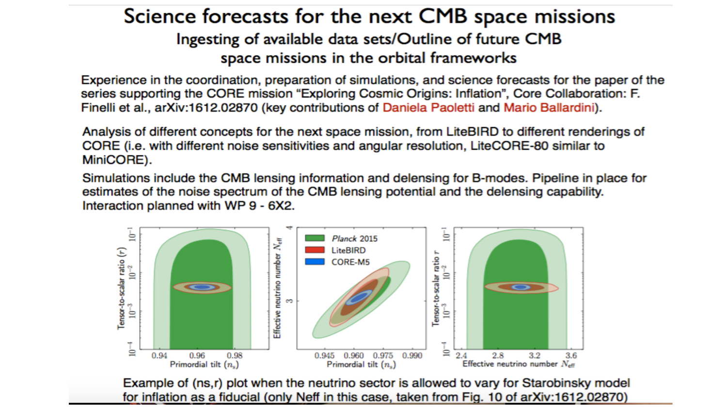#### Science forecasts for the next CMB space missions Ingesting of available data sets/Outline of future CMB space missions in the orbital frameworks

Experience in the coordination, preparation of simulations, and science forecasts for the paper of the series supporting the CORE mission "Exploring Cosmic Origins: Inflation", Core Collaboration: F. Finelli et al., arXiv:1612.02870 (key contributions of Daniela Paoletti and Mario Ballardini).

Analysis of different concepts for the next space mission, from LiteBIRD to different renderings of CORE (i.e. with different noise sensitivities and angular resolution, LiteCORE-80 similar to MiniCORE).

Simulations include the CMB lensing information and delensing for B-modes. Pipeline in place for estimates of the noise spectrum of the CMB lensing potential and the delensing capability. Interaction planned with WP 9 - 6X2.